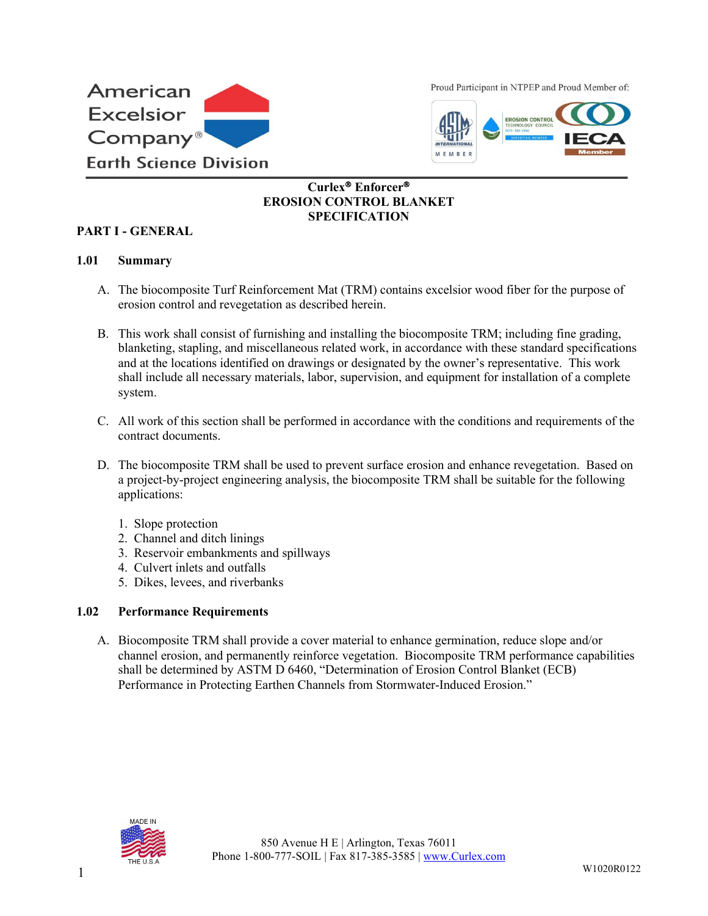

Proud Participant in NTPEP and Proud Member of:



## **Curlex<sup>®</sup> Enforcer<sup>®</sup> EROSION CONTROL BLANKET SPECIFICATION**

### **PART I - GENERAL**

### **1.01 Summary**

- A. The biocomposite Turf Reinforcement Mat (TRM) contains excelsior wood fiber for the purpose of erosion control and revegetation as described herein.
- B. This work shall consist of furnishing and installing the biocomposite TRM; including fine grading, blanketing, stapling, and miscellaneous related work, in accordance with these standard specifications and at the locations identified on drawings or designated by the owner's representative. This work shall include all necessary materials, labor, supervision, and equipment for installation of a complete system.
- C. All work of this section shall be performed in accordance with the conditions and requirements of the contract documents.
- D. The biocomposite TRM shall be used to prevent surface erosion and enhance revegetation. Based on a project-by-project engineering analysis, the biocomposite TRM shall be suitable for the following applications:
	- 1. Slope protection
	- 2. Channel and ditch linings
	- 3. Reservoir embankments and spillways
	- 4. Culvert inlets and outfalls
	- 5. Dikes, levees, and riverbanks

### **1.02 Performance Requirements**

A. Biocomposite TRM shall provide a cover material to enhance germination, reduce slope and/or channel erosion, and permanently reinforce vegetation. Biocomposite TRM performance capabilities shall be determined by ASTM D 6460, "Determination of Erosion Control Blanket (ECB) Performance in Protecting Earthen Channels from Stormwater-Induced Erosion."

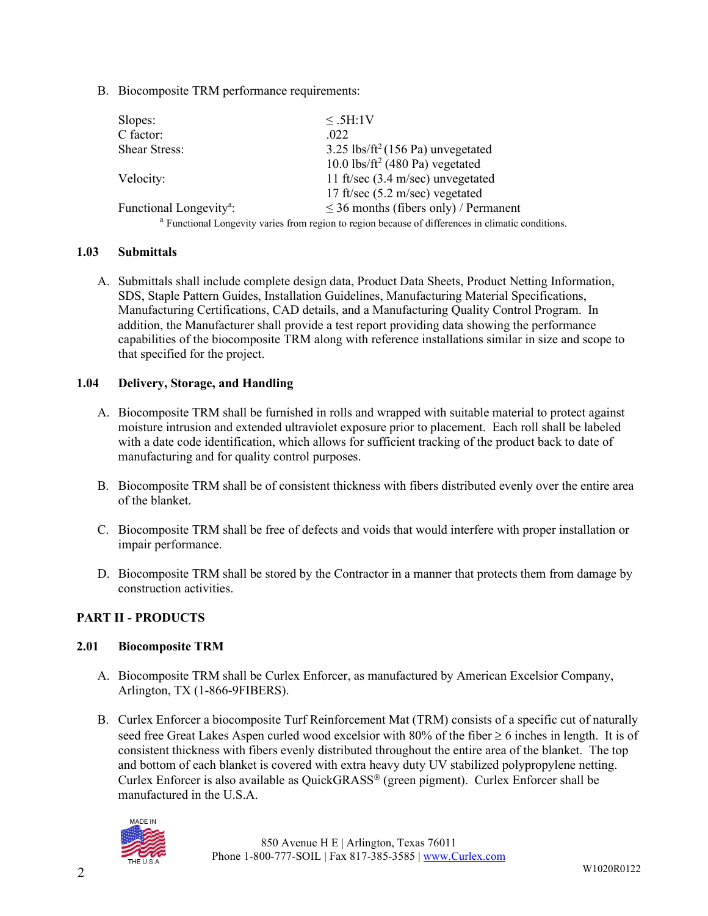B. Biocomposite TRM performance requirements:

| Slopes:                             | $\leq$ .5H:1V                                                                                                 |  |
|-------------------------------------|---------------------------------------------------------------------------------------------------------------|--|
| C factor:                           | .022                                                                                                          |  |
| <b>Shear Stress:</b>                | $3.25$ lbs/ft <sup>2</sup> (156 Pa) unvegetated                                                               |  |
|                                     | 10.0 lbs/ft <sup>2</sup> (480 Pa) vegetated                                                                   |  |
| Velocity:                           | 11 ft/sec (3.4 m/sec) unvegetated                                                                             |  |
|                                     | 17 ft/sec $(5.2 \text{ m/sec})$ vegetated                                                                     |  |
| Functional Longevity <sup>a</sup> : | $\leq$ 36 months (fibers only) / Permanent                                                                    |  |
|                                     | <sup>a</sup> Functional Longevity varies from region to region because of differences in climatic conditions. |  |

### **1.03 Submittals**

A. Submittals shall include complete design data, Product Data Sheets, Product Netting Information, SDS, Staple Pattern Guides, Installation Guidelines, Manufacturing Material Specifications, Manufacturing Certifications, CAD details, and a Manufacturing Quality Control Program. In addition, the Manufacturer shall provide a test report providing data showing the performance capabilities of the biocomposite TRM along with reference installations similar in size and scope to that specified for the project.

### **1.04 Delivery, Storage, and Handling**

- A. Biocomposite TRM shall be furnished in rolls and wrapped with suitable material to protect against moisture intrusion and extended ultraviolet exposure prior to placement. Each roll shall be labeled with a date code identification, which allows for sufficient tracking of the product back to date of manufacturing and for quality control purposes.
- B. Biocomposite TRM shall be of consistent thickness with fibers distributed evenly over the entire area of the blanket.
- C. Biocomposite TRM shall be free of defects and voids that would interfere with proper installation or impair performance.
- D. Biocomposite TRM shall be stored by the Contractor in a manner that protects them from damage by construction activities.

### **PART II - PRODUCTS**

### **2.01 Biocomposite TRM**

- A. Biocomposite TRM shall be Curlex Enforcer, as manufactured by American Excelsior Company, Arlington, TX (1-866-9FIBERS).
- B. Curlex Enforcer a biocomposite Turf Reinforcement Mat (TRM) consists of a specific cut of naturally seed free Great Lakes Aspen curled wood excelsior with  $80\%$  of the fiber  $\geq 6$  inches in length. It is of consistent thickness with fibers evenly distributed throughout the entire area of the blanket. The top and bottom of each blanket is covered with extra heavy duty UV stabilized polypropylene netting. Curlex Enforcer is also available as QuickGRASS (green pigment). Curlex Enforcer shall be manufactured in the U.S.A.

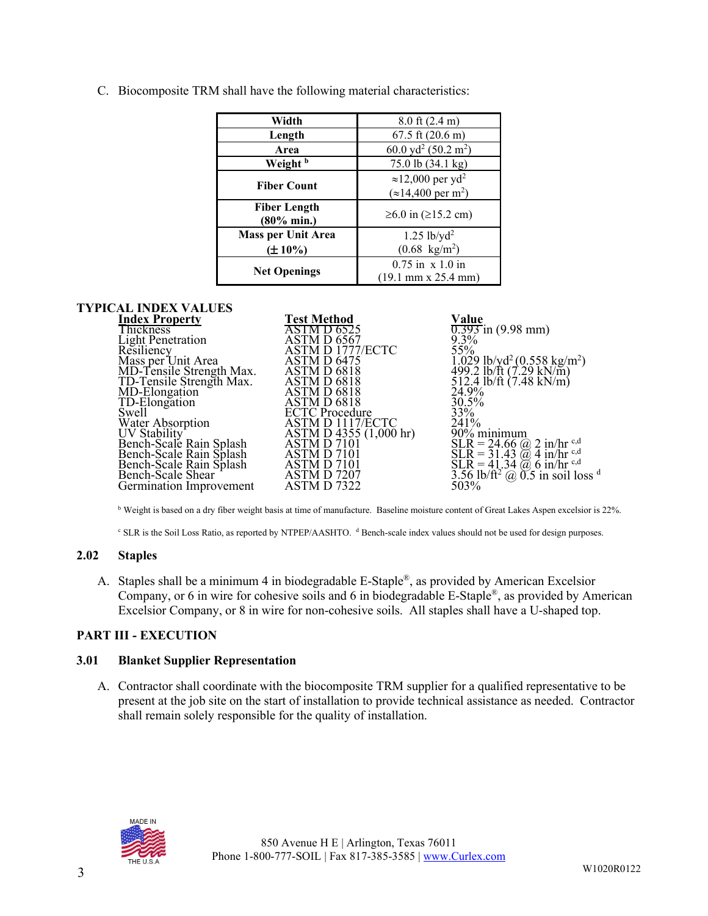C. Biocomposite TRM shall have the following material characteristics:

| Width                     | $8.0$ ft $(2.4 \text{ m})$                       |  |
|---------------------------|--------------------------------------------------|--|
| Length                    | $67.5$ ft $(20.6 \text{ m})$                     |  |
| Area                      | 60.0 yd <sup>2</sup> (50.2 m <sup>2</sup> )      |  |
| Weight <sup>b</sup>       | 75.0 lb (34.1 kg)                                |  |
| <b>Fiber Count</b>        | $\approx$ 12,000 per yd <sup>2</sup>             |  |
|                           | $(\approx 14,400 \,\mathrm{per} \,\mathrm{m}^2)$ |  |
| <b>Fiber Length</b>       | $≥6.0$ in ( $≥15.2$ cm)                          |  |
| $(80\% \text{ min.})$     |                                                  |  |
| <b>Mass per Unit Area</b> | $1.25$ lb/yd <sup>2</sup>                        |  |
| $(\pm 10\%)$              | $(0.68 \text{ kg/m}^2)$                          |  |
|                           | $0.75$ in $x 1.0$ in                             |  |
| <b>Net Openings</b>       | $(19.1 \text{ mm} \times 25.4 \text{ mm})$       |  |

# **TYPICAL INDEX VALUES**

| <b>Test Method</b><br>Value<br><b>Index Property</b>  |                                                                                                                                              |
|-------------------------------------------------------|----------------------------------------------------------------------------------------------------------------------------------------------|
| <b>Thickness</b><br><b>ASTMD 6525</b>                 | $0.393$ in $(9.98$ mm)                                                                                                                       |
| $9.3\%$<br>ASTM D 6567<br><b>Light Penetration</b>    |                                                                                                                                              |
| 55%<br>ASTM D 1777/ECTC<br>Resiliency                 |                                                                                                                                              |
| Mass per Unit Area<br>ASTM D 6475                     |                                                                                                                                              |
| MD-Tensile Strength Max.<br>ASTM D 6818               | 1.029 lb/yd <sup>2</sup> (0.558 kg/m <sup>2</sup> )<br>499.2 lb/ft (7.29 kN/m)                                                               |
| TD-Tensile Strength Max.<br>ASTM D 6818               | 512.4 lb/ft $(7.48 \text{ kN/m})$                                                                                                            |
| MD-Elongation<br>24.9%<br>ASTM D 6818                 |                                                                                                                                              |
| TD-Elongation<br>ASTM D 6818<br>30.5%                 |                                                                                                                                              |
| $33\%$<br><b>Swell</b><br><b>ECTC</b> Procedure       |                                                                                                                                              |
| 241%<br>Water Absorption<br>ASTM D 1117/ECTC          |                                                                                                                                              |
| ASTM D 4355 (1,000 hr)<br>ASTM D 7101<br>UV Stability | 90% minimum                                                                                                                                  |
| Bench-Scale Rain Splash                               | $SLR = 24.66$ (a) 2 in/hr <sup>c,d</sup>                                                                                                     |
| Bench-Scale Rain Splash<br>ASTM D 7101                |                                                                                                                                              |
| Bench-Scale Rain Splash<br>ASTM D 7101                | $\widetilde{SLR} = 31.43 \overset{\sim}{\omega} 4 \frac{3}{\ln \ln r}$ e,d<br>SLR = 41.34 $\overset{\sim}{\omega} 6 \frac{1}{\ln \ln r}$ e,d |
| Bench-Scale Shear<br>ASTM D 7207                      | $3.56$ lb/ft <sup>2</sup> @ 0.5 in soil loss <sup>d</sup>                                                                                    |
| 503%<br>Germination Improvement<br>ASTM D 7322        |                                                                                                                                              |

<sup>b</sup> Weight is based on a dry fiber weight basis at time of manufacture. Baseline moisture content of Great Lakes Aspen excelsior is 22%.

<sup>c</sup> SLR is the Soil Loss Ratio, as reported by NTPEP/AASHTO. <sup>d</sup> Bench-scale index values should not be used for design purposes.

### **2.02 Staples**

A. Staples shall be a minimum 4 in biodegradable E-Staple®, as provided by American Excelsior Company, or 6 in wire for cohesive soils and 6 in biodegradable E-Staple®, as provided by American Excelsior Company, or 8 in wire for non-cohesive soils. All staples shall have a U-shaped top.

### **PART III - EXECUTION**

### **3.01 Blanket Supplier Representation**

A. Contractor shall coordinate with the biocomposite TRM supplier for a qualified representative to be present at the job site on the start of installation to provide technical assistance as needed. Contractor shall remain solely responsible for the quality of installation.

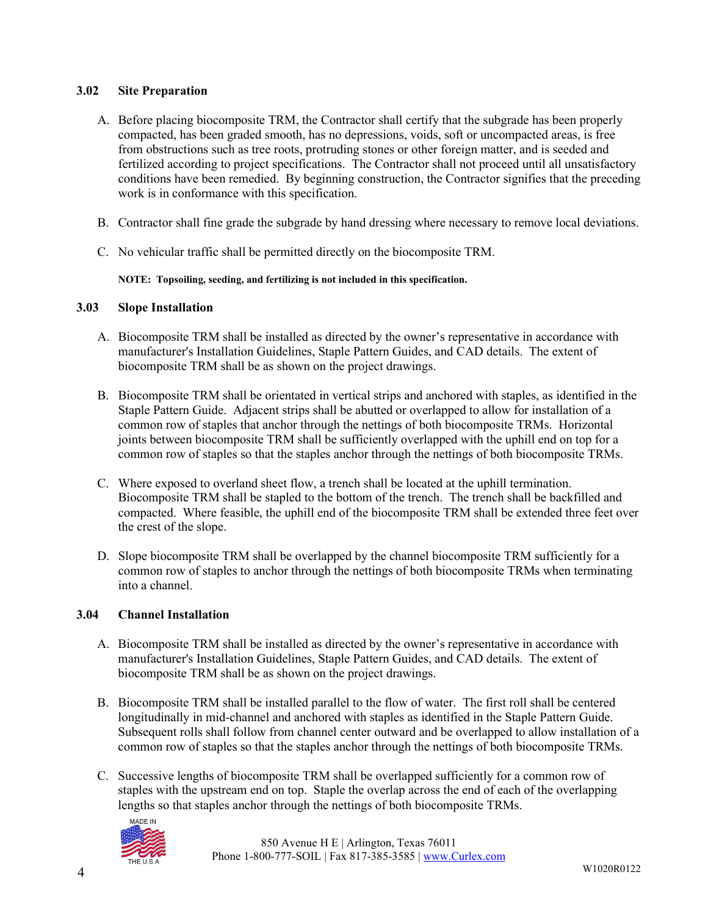### **3.02 Site Preparation**

- A. Before placing biocomposite TRM, the Contractor shall certify that the subgrade has been properly compacted, has been graded smooth, has no depressions, voids, soft or uncompacted areas, is free from obstructions such as tree roots, protruding stones or other foreign matter, and is seeded and fertilized according to project specifications. The Contractor shall not proceed until all unsatisfactory conditions have been remedied. By beginning construction, the Contractor signifies that the preceding work is in conformance with this specification.
- B. Contractor shall fine grade the subgrade by hand dressing where necessary to remove local deviations.
- C. No vehicular traffic shall be permitted directly on the biocomposite TRM.

**NOTE: Topsoiling, seeding, and fertilizing is not included in this specification.**

### **3.03 Slope Installation**

- A. Biocomposite TRM shall be installed as directed by the owner's representative in accordance with manufacturer's Installation Guidelines, Staple Pattern Guides, and CAD details. The extent of biocomposite TRM shall be as shown on the project drawings.
- B. Biocomposite TRM shall be orientated in vertical strips and anchored with staples, as identified in the Staple Pattern Guide. Adjacent strips shall be abutted or overlapped to allow for installation of a common row of staples that anchor through the nettings of both biocomposite TRMs. Horizontal joints between biocomposite TRM shall be sufficiently overlapped with the uphill end on top for a common row of staples so that the staples anchor through the nettings of both biocomposite TRMs.
- C. Where exposed to overland sheet flow, a trench shall be located at the uphill termination. Biocomposite TRM shall be stapled to the bottom of the trench. The trench shall be backfilled and compacted. Where feasible, the uphill end of the biocomposite TRM shall be extended three feet over the crest of the slope.
- D. Slope biocomposite TRM shall be overlapped by the channel biocomposite TRM sufficiently for a common row of staples to anchor through the nettings of both biocomposite TRMs when terminating into a channel.

### **3.04 Channel Installation**

- A. Biocomposite TRM shall be installed as directed by the owner's representative in accordance with manufacturer's Installation Guidelines, Staple Pattern Guides, and CAD details. The extent of biocomposite TRM shall be as shown on the project drawings.
- B. Biocomposite TRM shall be installed parallel to the flow of water. The first roll shall be centered longitudinally in mid-channel and anchored with staples as identified in the Staple Pattern Guide. Subsequent rolls shall follow from channel center outward and be overlapped to allow installation of a common row of staples so that the staples anchor through the nettings of both biocomposite TRMs.
- C. Successive lengths of biocomposite TRM shall be overlapped sufficiently for a common row of staples with the upstream end on top. Staple the overlap across the end of each of the overlapping lengths so that staples anchor through the nettings of both biocomposite TRMs.



850 Avenue H E | Arlington, Texas 76011 Phone 1-800-777-SOIL | Fax 817-385-3585 | [www.Curlex.com](http://www.curlex.com/)